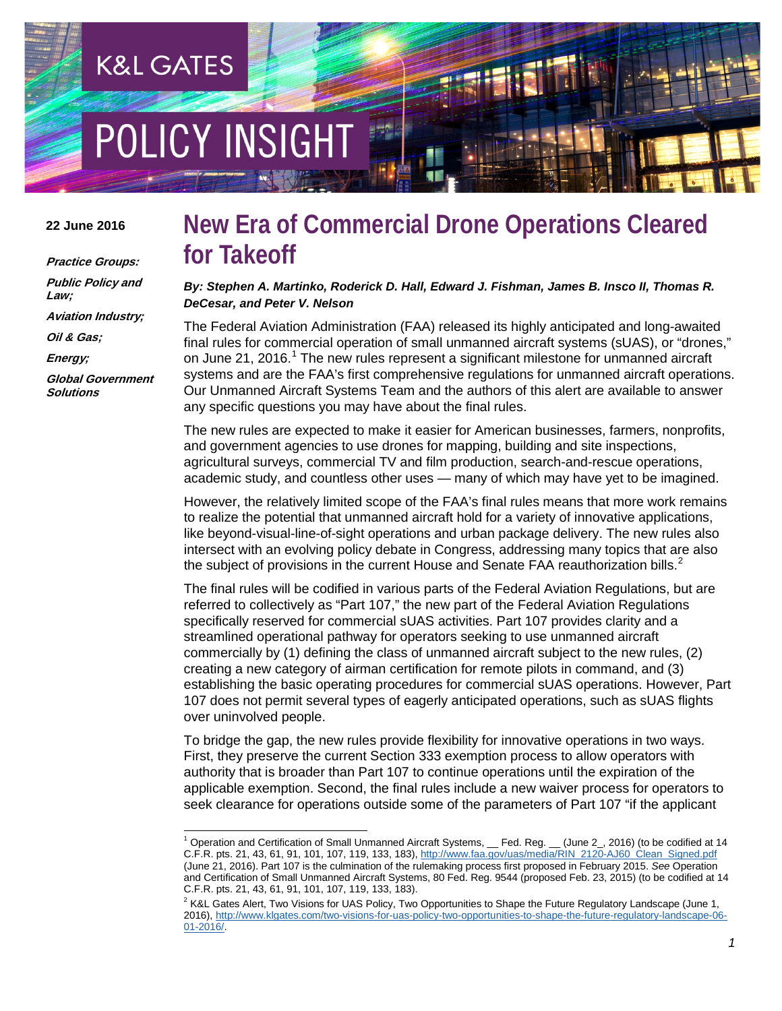# POLICY INSIGH

**K&L GATES** 

### **22 June 2016**

**Practice Groups: Public Policy and Law; Aviation Industry; Oil & Gas; Energy;**

**Global Government Solutions**

# **New Era of Commercial Drone Operations Cleared for Takeoff**

*By: Stephen A. Martinko, Roderick D. Hall, Edward J. Fishman, James B. Insco II, Thomas R. DeCesar, and Peter V. Nelson*

The Federal Aviation Administration (FAA) released its highly anticipated and long-awaited final rules for commercial operation of small unmanned aircraft systems (sUAS), or "drones," on June 2[1](#page-0-0), 2016.<sup>1</sup> The new rules represent a significant milestone for unmanned aircraft systems and are the FAA's first comprehensive regulations for unmanned aircraft operations. Our Unmanned Aircraft Systems Team and the authors of this alert are available to answer any specific questions you may have about the final rules.

The new rules are expected to make it easier for American businesses, farmers, nonprofits, and government agencies to use drones for mapping, building and site inspections, agricultural surveys, commercial TV and film production, search-and-rescue operations, academic study, and countless other uses — many of which may have yet to be imagined.

However, the relatively limited scope of the FAA's final rules means that more work remains to realize the potential that unmanned aircraft hold for a variety of innovative applications, like beyond-visual-line-of-sight operations and urban package delivery. The new rules also intersect with an evolving policy debate in Congress, addressing many topics that are also the subject of provisions in the current House and Senate FAA reauthorization bills. $2^2$  $2^2$ 

The final rules will be codified in various parts of the Federal Aviation Regulations, but are referred to collectively as "Part 107," the new part of the Federal Aviation Regulations specifically reserved for commercial sUAS activities. Part 107 provides clarity and a streamlined operational pathway for operators seeking to use unmanned aircraft commercially by (1) defining the class of unmanned aircraft subject to the new rules, (2) creating a new category of airman certification for remote pilots in command, and (3) establishing the basic operating procedures for commercial sUAS operations. However, Part 107 does not permit several types of eagerly anticipated operations, such as sUAS flights over uninvolved people.

To bridge the gap, the new rules provide flexibility for innovative operations in two ways. First, they preserve the current Section 333 exemption process to allow operators with authority that is broader than Part 107 to continue operations until the expiration of the applicable exemption. Second, the final rules include a new waiver process for operators to seek clearance for operations outside some of the parameters of Part 107 "if the applicant

<span id="page-0-0"></span>Operation and Certification of Small Unmanned Aircraft Systems, Ged. Reg. Gune 2, 2016) (to be codified at 14 C.F.R. pts. 21, 43, 61, 91, 101, 107, 119, 133, 183)[, http://www.faa.gov/uas/media/RIN\\_2120-AJ60\\_Clean\\_Signed.pdf](http://www.faa.gov/uas/media/RIN_2120-AJ60_Clean_Signed.pdf) (June 21, 2016). Part 107 is the culmination of the rulemaking process first proposed in February 2015. *See* Operation and Certification of Small Unmanned Aircraft Systems, 80 Fed. Reg. 9544 (proposed Feb. 23, 2015) (to be codified at 14 C.F.R. pts. 21, 43, 61, 91, 101, 107, 119, 133, 183).

<span id="page-0-1"></span><sup>&</sup>lt;sup>2</sup> K&L Gates Alert, Two Visions for UAS Policy, Two Opportunities to Shape the Future Regulatory Landscape (June 1, 2016), [http://www.klgates.com/two-visions-for-uas-policy-two-opportunities-to-shape-the-future-regulatory-landscape-06-](http://www.klgates.com/two-visions-for-uas-policy-two-opportunities-to-shape-the-future-regulatory-landscape-06-01-2016/) [01-2016/.](http://www.klgates.com/two-visions-for-uas-policy-two-opportunities-to-shape-the-future-regulatory-landscape-06-01-2016/)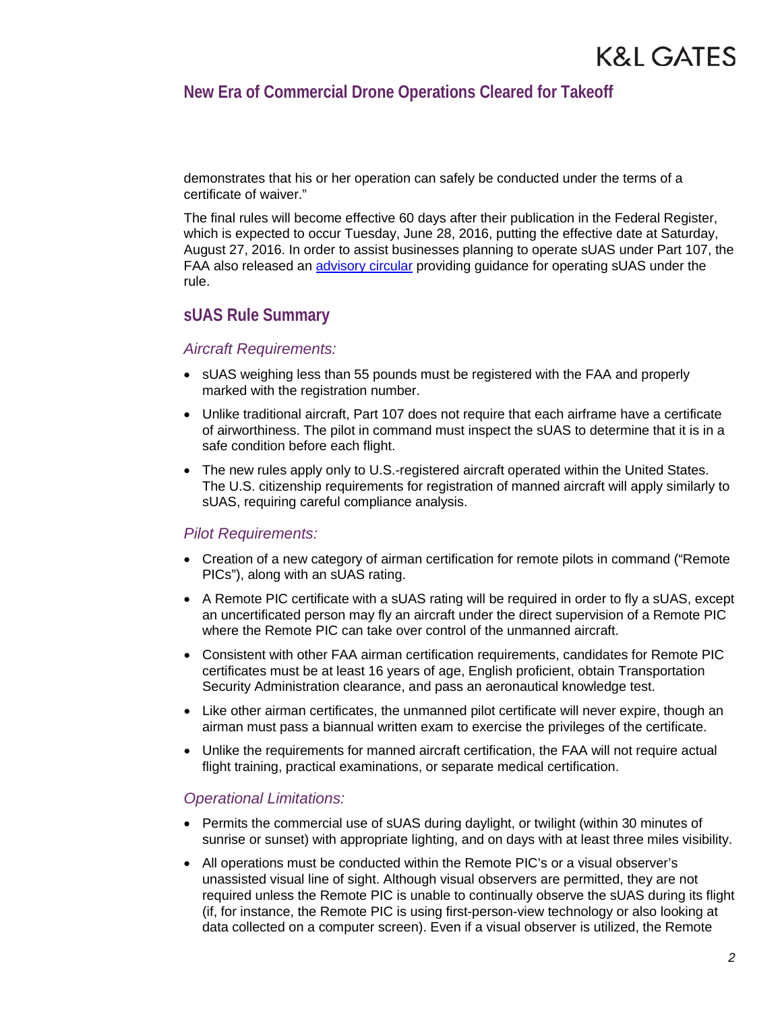# **New Era of Commercial Drone Operations Cleared for Takeoff**

demonstrates that his or her operation can safely be conducted under the terms of a certificate of waiver."

The final rules will become effective 60 days after their publication in the Federal Register, which is expected to occur Tuesday, June 28, 2016, putting the effective date at Saturday, August 27, 2016. In order to assist businesses planning to operate sUAS under Part 107, the FAA also released an [advisory circular](https://www.faa.gov/uas/media/AC_107-2_AFS-1_Signed.pdf) providing guidance for operating sUAS under the rule.

### **sUAS Rule Summary**

### *Aircraft Requirements:*

- sUAS weighing less than 55 pounds must be registered with the FAA and properly marked with the registration number.
- Unlike traditional aircraft, Part 107 does not require that each airframe have a certificate of airworthiness. The pilot in command must inspect the sUAS to determine that it is in a safe condition before each flight.
- The new rules apply only to U.S.-registered aircraft operated within the United States. The U.S. citizenship requirements for registration of manned aircraft will apply similarly to sUAS, requiring careful compliance analysis.

### *Pilot Requirements:*

- Creation of a new category of airman certification for remote pilots in command ("Remote PICs"), along with an sUAS rating.
- A Remote PIC certificate with a sUAS rating will be required in order to fly a sUAS, except an uncertificated person may fly an aircraft under the direct supervision of a Remote PIC where the Remote PIC can take over control of the unmanned aircraft.
- Consistent with other FAA airman certification requirements, candidates for Remote PIC certificates must be at least 16 years of age, English proficient, obtain Transportation Security Administration clearance, and pass an aeronautical knowledge test.
- Like other airman certificates, the unmanned pilot certificate will never expire, though an airman must pass a biannual written exam to exercise the privileges of the certificate.
- Unlike the requirements for manned aircraft certification, the FAA will not require actual flight training, practical examinations, or separate medical certification.

### *Operational Limitations:*

- Permits the commercial use of sUAS during daylight, or twilight (within 30 minutes of sunrise or sunset) with appropriate lighting, and on days with at least three miles visibility.
- All operations must be conducted within the Remote PIC's or a visual observer's unassisted visual line of sight. Although visual observers are permitted, they are not required unless the Remote PIC is unable to continually observe the sUAS during its flight (if, for instance, the Remote PIC is using first-person-view technology or also looking at data collected on a computer screen). Even if a visual observer is utilized, the Remote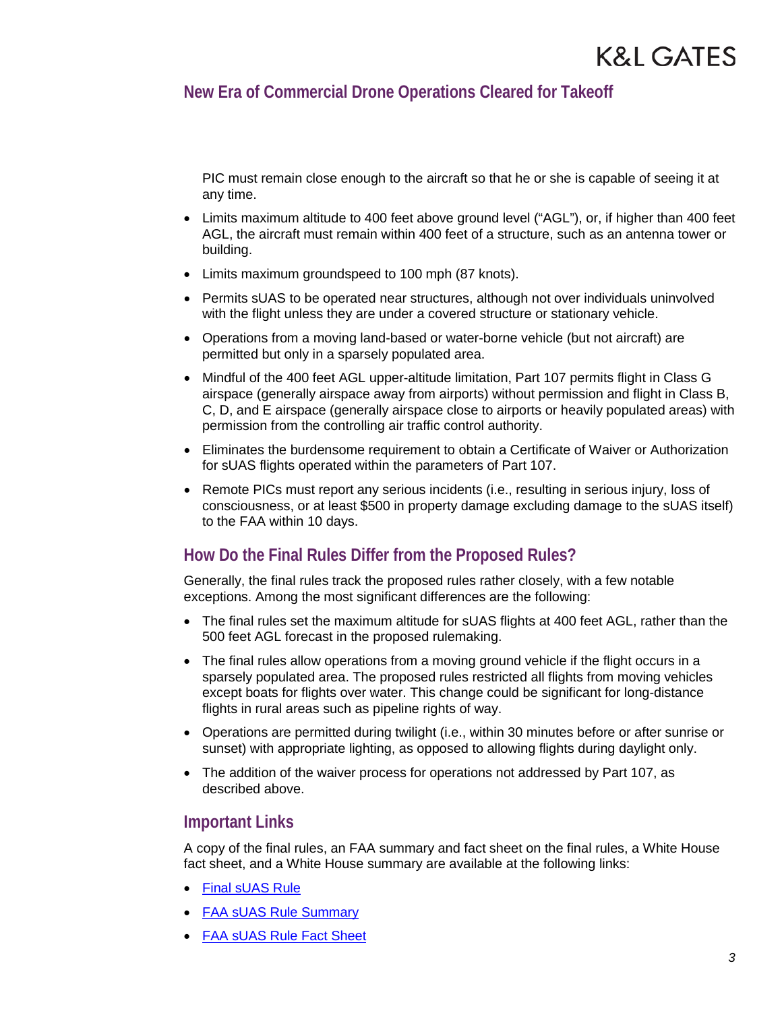# **New Era of Commercial Drone Operations Cleared for Takeoff**

PIC must remain close enough to the aircraft so that he or she is capable of seeing it at any time.

- Limits maximum altitude to 400 feet above ground level ("AGL"), or, if higher than 400 feet AGL, the aircraft must remain within 400 feet of a structure, such as an antenna tower or building.
- Limits maximum groundspeed to 100 mph (87 knots).
- Permits sUAS to be operated near structures, although not over individuals uninvolved with the flight unless they are under a covered structure or stationary vehicle.
- Operations from a moving land-based or water-borne vehicle (but not aircraft) are permitted but only in a sparsely populated area.
- Mindful of the 400 feet AGL upper-altitude limitation, Part 107 permits flight in Class G airspace (generally airspace away from airports) without permission and flight in Class B, C, D, and E airspace (generally airspace close to airports or heavily populated areas) with permission from the controlling air traffic control authority.
- Eliminates the burdensome requirement to obtain a Certificate of Waiver or Authorization for sUAS flights operated within the parameters of Part 107.
- Remote PICs must report any serious incidents (i.e., resulting in serious injury, loss of consciousness, or at least \$500 in property damage excluding damage to the sUAS itself) to the FAA within 10 days.

# **How Do the Final Rules Differ from the Proposed Rules?**

Generally, the final rules track the proposed rules rather closely, with a few notable exceptions. Among the most significant differences are the following:

- The final rules set the maximum altitude for sUAS flights at 400 feet AGL, rather than the 500 feet AGL forecast in the proposed rulemaking.
- The final rules allow operations from a moving ground vehicle if the flight occurs in a sparsely populated area. The proposed rules restricted all flights from moving vehicles except boats for flights over water. This change could be significant for long-distance flights in rural areas such as pipeline rights of way.
- Operations are permitted during twilight (i.e., within 30 minutes before or after sunrise or sunset) with appropriate lighting, as opposed to allowing flights during daylight only.
- The addition of the waiver process for operations not addressed by Part 107, as described above.

### **Important Links**

A copy of the final rules, an FAA summary and fact sheet on the final rules, a White House fact sheet, and a White House summary are available at the following links:

- [Final sUAS Rule](http://www.faa.gov/uas/media/RIN_2120-AJ60_Clean_Signed.pdf)
- [FAA sUAS Rule Summary](http://www.faa.gov/uas/media/Part_107_Summary.pdf)
- [FAA sUAS Rule Fact Sheet](http://www.faa.gov/news/fact_sheets/news_story.cfm?newsId=20516)